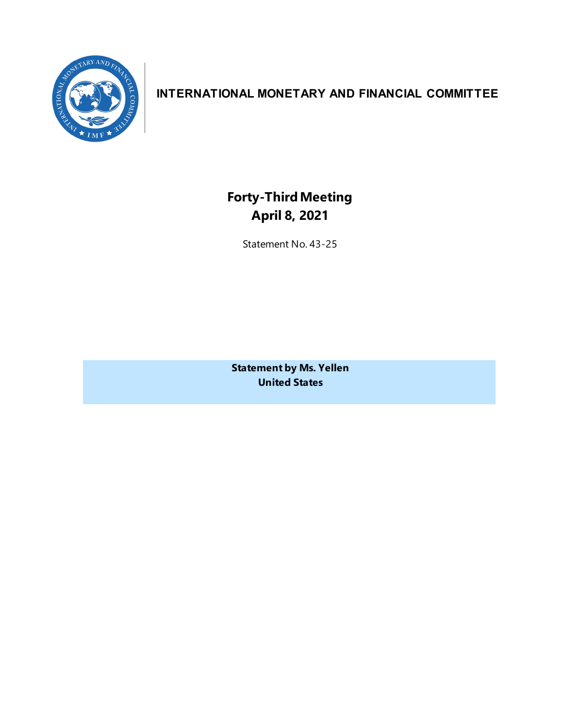

## **INTERNATIONAL MONETARY AND FINANCIAL COMMITTEE**

**Forty-ThirdMeeting April 8, 2021**

Statement No. 43-25

**Statement by Ms. Yellen United States**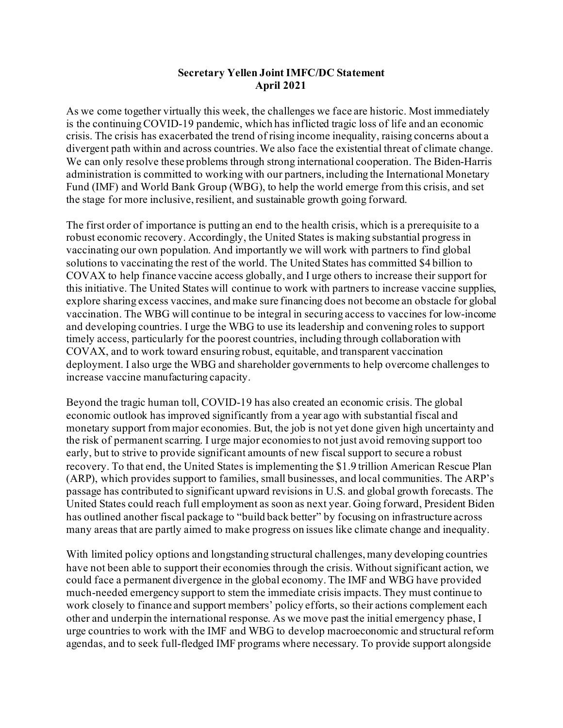## **Secretary Yellen Joint IMFC/DC Statement April 2021**

As we come together virtually this week, the challenges we face are historic. Most immediately is the continuing COVID-19 pandemic, which has inflicted tragic loss of life and an economic crisis. The crisis has exacerbated the trend of rising income inequality, raising concerns about a divergent path within and across countries. We also face the existential threat of climate change. We can only resolve these problems through strong international cooperation. The Biden-Harris administration is committed to working with our partners, including the International Monetary Fund (IMF) and World Bank Group (WBG), to help the world emerge from this crisis, and set the stage for more inclusive, resilient, and sustainable growth going forward.

The first order of importance is putting an end to the health crisis, which is a prerequisite to a robust economic recovery. Accordingly, the United States is making substantial progress in vaccinating our own population. And importantly we will work with partners to find global solutions to vaccinating the rest of the world. The United States has committed \$4 billion to COVAX to help finance vaccine access globally, and I urge others to increase their support for this initiative. The United States will continue to work with partners to increase vaccine supplies, explore sharing excess vaccines, and make sure financing does not become an obstacle for global vaccination. The WBG will continue to be integral in securing access to vaccines for low-income and developing countries. I urge the WBG to use its leadership and convening roles to support timely access, particularly for the poorest countries, including through collaboration with COVAX, and to work toward ensuring robust, equitable, and transparent vaccination deployment. I also urge the WBG and shareholder governments to help overcome challenges to increase vaccine manufacturing capacity.

Beyond the tragic human toll, COVID-19 has also created an economic crisis. The global economic outlook has improved significantly from a year ago with substantial fiscal and monetary support from major economies. But, the job is not yet done given high uncertainty and the risk of permanent scarring. I urge major economies to not just avoid removing support too early, but to strive to provide significant amounts of new fiscal support to secure a robust recovery. To that end, the United States is implementing the \$1.9 trillion American Rescue Plan (ARP), which provides support to families, small businesses, and local communities. The ARP's passage has contributed to significant upward revisions in U.S. and global growth forecasts. The United States could reach full employment as soon as next year. Going forward, President Biden has outlined another fiscal package to "build back better" by focusing on infrastructure across many areas that are partly aimed to make progress on issues like climate change and inequality.

With limited policy options and longstanding structural challenges, many developing countries have not been able to support their economies through the crisis. Without significant action, we could face a permanent divergence in the global economy. The IMF and WBG have provided much-needed emergency support to stem the immediate crisis impacts. They must continue to work closely to finance and support members' policy efforts, so their actions complement each other and underpin the international response. As we move past the initial emergency phase, I urge countries to work with the IMF and WBG to develop macroeconomic and structural reform agendas, and to seek full-fledged IMF programs where necessary. To provide support alongside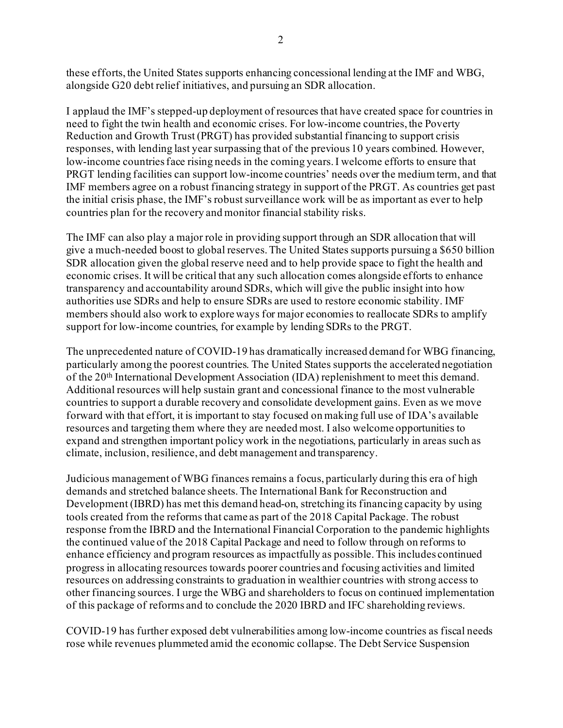these efforts, the United States supports enhancing concessional lending at the IMF and WBG, alongside G20 debt relief initiatives, and pursuing an SDR allocation.

I applaud the IMF's stepped-up deployment of resources that have created space for countries in need to fight the twin health and economic crises. For low-income countries, the Poverty Reduction and Growth Trust (PRGT) has provided substantial financing to support crisis responses, with lending last year surpassing that of the previous 10 years combined. However, low-income countries face rising needs in the coming years. I welcome efforts to ensure that PRGT lending facilities can support low-income countries' needs over the medium term, and that IMF members agree on a robust financing strategy in support of the PRGT. As countries get past the initial crisis phase, the IMF's robust surveillance work will be as important as ever to help countries plan for the recovery and monitor financial stability risks.

The IMF can also play a major role in providing support through an SDR allocation that will give a much-needed boost to global reserves. The United States supports pursuing a \$650 billion SDR allocation given the global reserve need and to help provide space to fight the health and economic crises. It will be critical that any such allocation comes alongside efforts to enhance transparency and accountability around SDRs, which will give the public insight into how authorities use SDRs and help to ensure SDRs are used to restore economic stability. IMF members should also work to explore ways for major economies to reallocate SDRs to amplify support for low-income countries, for example by lending SDRs to the PRGT.

The unprecedented nature of COVID-19 has dramatically increased demand for WBG financing, particularly among the poorest countries. The United States supports the accelerated negotiation of the 20th International Development Association (IDA) replenishment to meet this demand. Additional resources will help sustain grant and concessional finance to the most vulnerable countries to support a durable recovery and consolidate development gains. Even as we move forward with that effort, it is important to stay focused on making full use of IDA's available resources and targeting them where they are needed most. I also welcome opportunities to expand and strengthen important policy work in the negotiations, particularly in areas such as climate, inclusion, resilience, and debt management and transparency.

Judicious management of WBG finances remains a focus, particularly during this era of high demands and stretched balance sheets. The International Bank for Reconstruction and Development (IBRD) has met this demand head-on, stretching its financing capacity by using tools created from the reforms that came as part of the 2018 Capital Package. The robust response from the IBRD and the International Financial Corporation to the pandemic highlights the continued value of the 2018 Capital Package and need to follow through on reforms to enhance efficiency and program resources as impactfully as possible. This includes continued progress in allocating resources towards poorer countries and focusing activities and limited resources on addressing constraints to graduation in wealthier countries with strong access to other financing sources. I urge the WBG and shareholders to focus on continued implementation of this package of reforms and to conclude the 2020 IBRD and IFC shareholding reviews.

COVID-19 has further exposed debt vulnerabilities among low-income countries as fiscal needs rose while revenues plummeted amid the economic collapse. The Debt Service Suspension